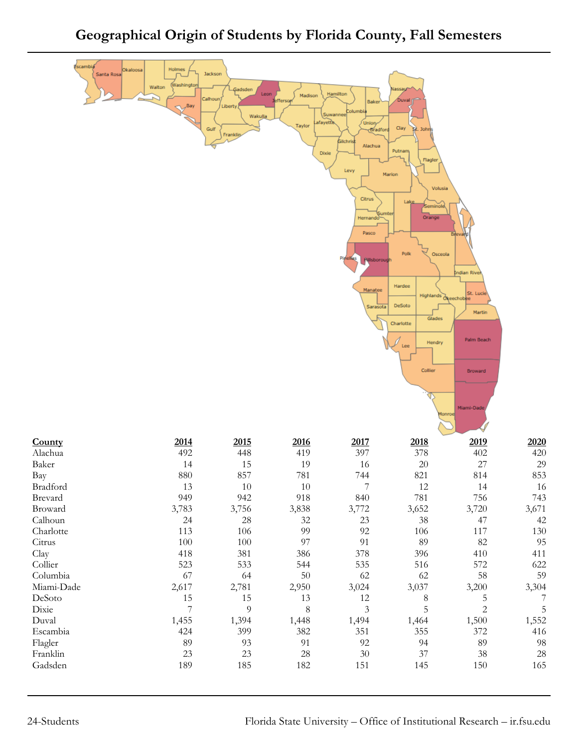## **Geographical Origin of Students by Florida County, Fall Semesters**